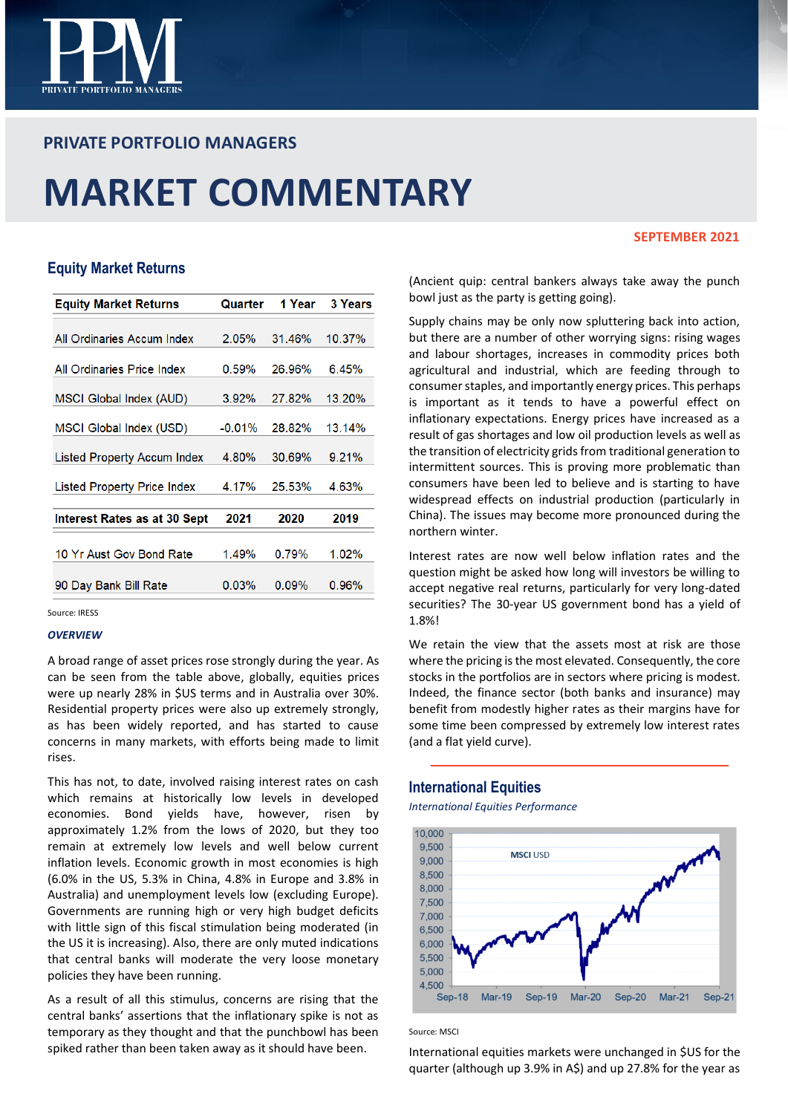

# **PRIVATE PORTFOLIO MANAGERS**

# **MARKET COMMENTARY**

### **SEPTEMBER 2021**

# **Equity Market Returns**

| <b>Equity Market Returns</b> | Quarter  | 1 Year | <b>3 Years</b> |
|------------------------------|----------|--------|----------------|
| All Ordinaries Accum Index   | 2.05%    | 31.46% | 10.37%         |
|                              |          |        |                |
| All Ordinaries Price Index   | 0.59%    | 26.96% | 6.45%          |
| MSCI Global Index (AUD)      | $3.92\%$ | 27.82% | 13.20%         |
| MSCI Global Index (USD)      | $-0.01%$ | 28.82% | 13.14%         |
| Listed Property Accum Index  | 4.80%    | 30.69% | 9.21%          |
| Listed Property Price Index  | 4.17%    | 25.53% | 4.63%          |
| Interest Rates as at 30 Sept | 2021     | 2020   | 2019           |
| 10 Yr Aust Gov Bond Rate     | 1.49%    | 0.79%  | 1.02%          |
| 90 Day Bank Bill Rate        | 0.03%    | 0.09%  | 0.96%          |
|                              |          |        |                |

Source: IRESS

#### *OVERVIEW*

A broad range of asset prices rose strongly during the year. As can be seen from the table above, globally, equities prices were up nearly 28% in \$US terms and in Australia over 30%. Residential property prices were also up extremely strongly, as has been widely reported, and has started to cause concerns in many markets, with efforts being made to limit rises.

This has not, to date, involved raising interest rates on cash which remains at historically low levels in developed economies. Bond yields have, however, risen by approximately 1.2% from the lows of 2020, but they too remain at extremely low levels and well below current inflation levels. Economic growth in most economies is high (6.0% in the US, 5.3% in China, 4.8% in Europe and 3.8% in Australia) and unemployment levels low (excluding Europe). Governments are running high or very high budget deficits with little sign of this fiscal stimulation being moderated (in the US it is increasing). Also, there are only muted indications that central banks will moderate the very loose monetary policies they have been running.

As a result of all this stimulus, concerns are rising that the central banks' assertions that the inflationary spike is not as temporary as they thought and that the punchbowl has been spiked rather than been taken away as it should have been.

(Ancient quip: central bankers always take away the punch bowl just as the party is getting going).

Supply chains may be only now spluttering back into action, but there are a number of other worrying signs: rising wages and labour shortages, increases in commodity prices both agricultural and industrial, which are feeding through to consumer staples, and importantly energy prices. This perhaps is important as it tends to have a powerful effect on inflationary expectations. Energy prices have increased as a result of gas shortages and low oil production levels as well as the transition of electricity grids from traditional generation to intermittent sources. This is proving more problematic than consumers have been led to believe and is starting to have widespread effects on industrial production (particularly in China). The issues may become more pronounced during the northern winter.

Interest rates are now well below inflation rates and the question might be asked how long will investors be willing to accept negative real returns, particularly for very long-dated securities? The 30-year US government bond has a yield of 1.8%!

We retain the view that the assets most at risk are those where the pricing is the most elevated. Consequently, the core stocks in the portfolios are in sectors where pricing is modest. Indeed, the finance sector (both banks and insurance) may benefit from modestly higher rates as their margins have for some time been compressed by extremely low interest rates (and a flat yield curve).

# **International Equities**

*International Equities Performance*



Source: MSCI

International equities markets were unchanged in \$US for the quarter (although up 3.9% in A\$) and up 27.8% for the year as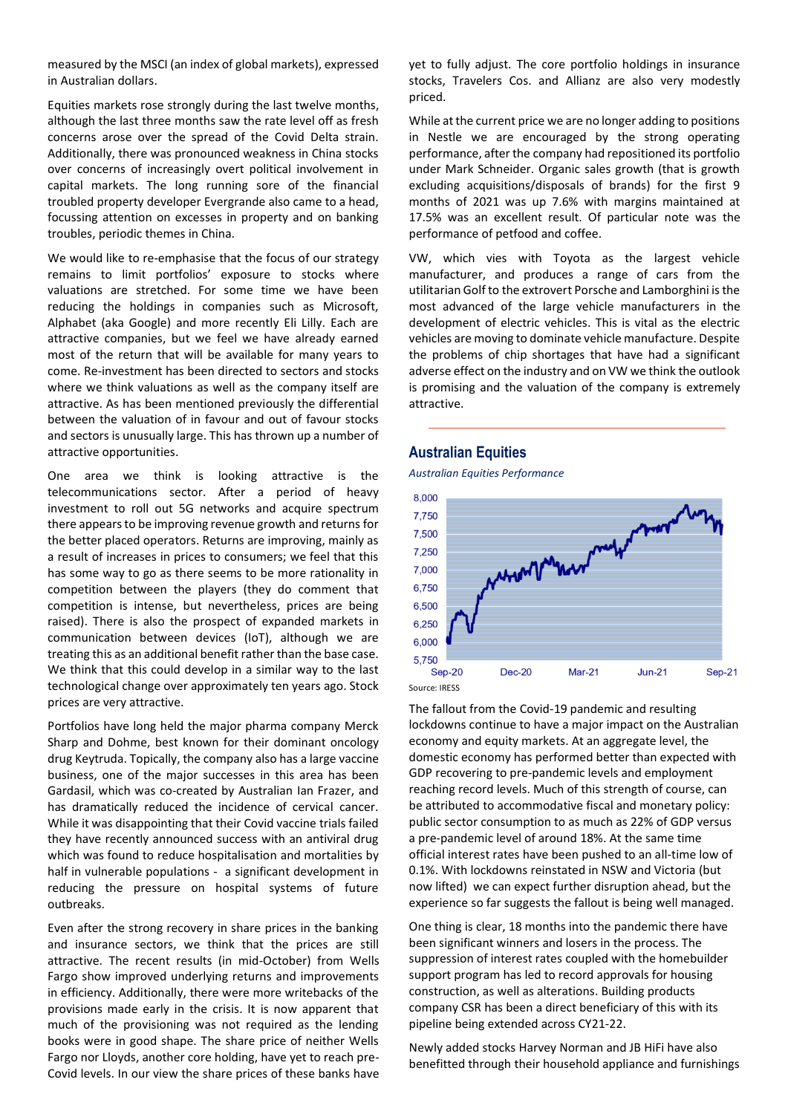measured by the MSCI (an index of global markets), expressed in Australian dollars.

Equities markets rose strongly during the last twelve months, although the last three months saw the rate level off as fresh concerns arose over the spread of the Covid Delta strain. Additionally, there was pronounced weakness in China stocks over concerns of increasingly overt political involvement in capital markets. The long running sore of the financial troubled property developer Evergrande also came to a head, focussing attention on excesses in property and on banking troubles, periodic themes in China.

We would like to re-emphasise that the focus of our strategy remains to limit portfolios' exposure to stocks where valuations are stretched. For some time we have been reducing the holdings in companies such as Microsoft, Alphabet (aka Google) and more recently Eli Lilly. Each are attractive companies, but we feel we have already earned most of the return that will be available for many years to come. Re-investment has been directed to sectors and stocks where we think valuations as well as the company itself are attractive. As has been mentioned previously the differential between the valuation of in favour and out of favour stocks and sectors is unusually large. This has thrown up a number of attractive opportunities.

One area we think is looking attractive is the telecommunications sector. After a period of heavy investment to roll out 5G networks and acquire spectrum there appears to be improving revenue growth and returns for the better placed operators. Returns are improving, mainly as a result of increases in prices to consumers; we feel that this has some way to go as there seems to be more rationality in competition between the players (they do comment that competition is intense, but nevertheless, prices are being raised). There is also the prospect of expanded markets in communication between devices (IoT), although we are treating this as an additional benefit rather than the base case. We think that this could develop in a similar way to the last technological change over approximately ten years ago. Stock prices are very attractive.

Portfolios have long held the major pharma company Merck Sharp and Dohme, best known for their dominant oncology drug Keytruda. Topically, the company also has a large vaccine business, one of the major successes in this area has been Gardasil, which was co-created by Australian Ian Frazer, and has dramatically reduced the incidence of cervical cancer. While it was disappointing that their Covid vaccine trials failed they have recently announced success with an antiviral drug which was found to reduce hospitalisation and mortalities by half in vulnerable populations - a significant development in reducing the pressure on hospital systems of future outbreaks.

Even after the strong recovery in share prices in the banking and insurance sectors, we think that the prices are still attractive. The recent results (in mid-October) from Wells Fargo show improved underlying returns and improvements in efficiency. Additionally, there were more writebacks of the provisions made early in the crisis. It is now apparent that much of the provisioning was not required as the lending books were in good shape. The share price of neither Wells Fargo nor Lloyds, another core holding, have yet to reach pre-Covid levels. In our view the share prices of these banks have yet to fully adjust. The core portfolio holdings in insurance stocks, Travelers Cos. and Allianz are also very modestly priced.

While at the current price we are no longer adding to positions in Nestle we are encouraged by the strong operating performance, after the company had repositioned its portfolio under Mark Schneider. Organic sales growth (that is growth excluding acquisitions/disposals of brands) for the first 9 months of 2021 was up 7.6% with margins maintained at 17.5% was an excellent result. Of particular note was the performance of petfood and coffee.

VW, which vies with Toyota as the largest vehicle manufacturer, and produces a range of cars from the utilitarian Golf to the extrovert Porsche and Lamborghini is the most advanced of the large vehicle manufacturers in the development of electric vehicles. This is vital as the electric vehicles are moving to dominate vehicle manufacture. Despite the problems of chip shortages that have had a significant adverse effect on the industry and on VW we think the outlook is promising and the valuation of the company is extremely attractive.

## **Australian Equities**

*Australian Equities Performance*



The fallout from the Covid-19 pandemic and resulting lockdowns continue to have a major impact on the Australian economy and equity markets. At an aggregate level, the domestic economy has performed better than expected with GDP recovering to pre-pandemic levels and employment reaching record levels. Much of this strength of course, can be attributed to accommodative fiscal and monetary policy: public sector consumption to as much as 22% of GDP versus a pre-pandemic level of around 18%. At the same time official interest rates have been pushed to an all-time low of 0.1%. With lockdowns reinstated in NSW and Victoria (but now lifted) we can expect further disruption ahead, but the experience so far suggests the fallout is being well managed.

One thing is clear, 18 months into the pandemic there have been significant winners and losers in the process. The suppression of interest rates coupled with the homebuilder support program has led to record approvals for housing construction, as well as alterations. Building products company CSR has been a direct beneficiary of this with its pipeline being extended across CY21-22.

Newly added stocks Harvey Norman and JB HiFi have also benefitted through their household appliance and furnishings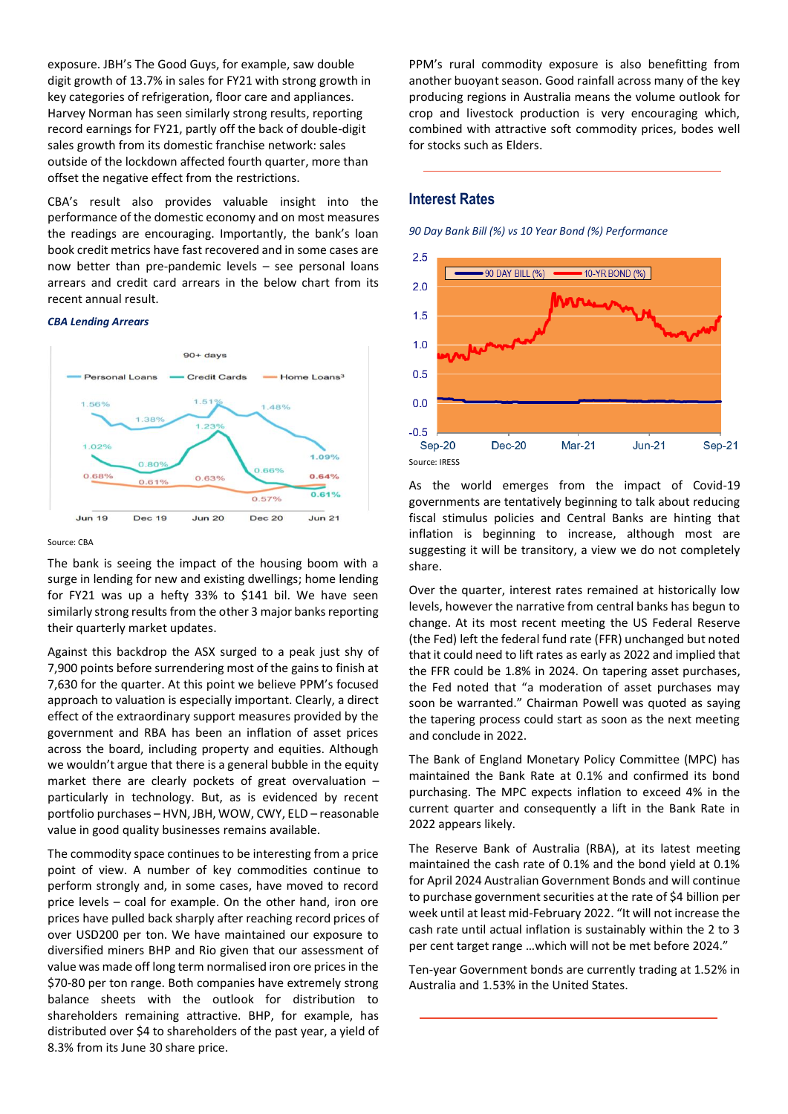exposure. JBH's The Good Guys, for example, saw double digit growth of 13.7% in sales for FY21 with strong growth in key categories of refrigeration, floor care and appliances. Harvey Norman has seen similarly strong results, reporting record earnings for FY21, partly off the back of double-digit sales growth from its domestic franchise network: sales outside of the lockdown affected fourth quarter, more than offset the negative effect from the restrictions.

CBA's result also provides valuable insight into the performance of the domestic economy and on most measures the readings are encouraging. Importantly, the bank's loan book credit metrics have fast recovered and in some cases are now better than pre-pandemic levels – see personal loans arrears and credit card arrears in the below chart from its recent annual result.

#### *CBA Lending Arrears*



#### Source: CBA

The bank is seeing the impact of the housing boom with a surge in lending for new and existing dwellings; home lending for FY21 was up a hefty 33% to \$141 bil. We have seen similarly strong results from the other 3 major banks reporting their quarterly market updates.

Against this backdrop the ASX surged to a peak just shy of 7,900 points before surrendering most of the gains to finish at 7,630 for the quarter. At this point we believe PPM's focused approach to valuation is especially important. Clearly, a direct effect of the extraordinary support measures provided by the government and RBA has been an inflation of asset prices across the board, including property and equities. Although we wouldn't argue that there is a general bubble in the equity market there are clearly pockets of great overvaluation – particularly in technology. But, as is evidenced by recent portfolio purchases – HVN, JBH, WOW, CWY, ELD – reasonable value in good quality businesses remains available.

The commodity space continues to be interesting from a price point of view. A number of key commodities continue to perform strongly and, in some cases, have moved to record price levels – coal for example. On the other hand, iron ore prices have pulled back sharply after reaching record prices of over USD200 per ton. We have maintained our exposure to diversified miners BHP and Rio given that our assessment of value was made off long term normalised iron ore prices in the \$70-80 per ton range. Both companies have extremely strong balance sheets with the outlook for distribution to shareholders remaining attractive. BHP, for example, has distributed over \$4 to shareholders of the past year, a yield of 8.3% from its June 30 share price.

PPM's rural commodity exposure is also benefitting from another buoyant season. Good rainfall across many of the key producing regions in Australia means the volume outlook for crop and livestock production is very encouraging which, combined with attractive soft commodity prices, bodes well for stocks such as Elders.

# **Interest Rates**

*90 Day Bank Bill (%) vs 10 Year Bond (%) Performance*



As the world emerges from the impact of Covid-19 governments are tentatively beginning to talk about reducing fiscal stimulus policies and Central Banks are hinting that inflation is beginning to increase, although most are suggesting it will be transitory, a view we do not completely share.

Over the quarter, interest rates remained at historically low levels, however the narrative from central banks has begun to change. At its most recent meeting the US Federal Reserve (the Fed) left the federal fund rate (FFR) unchanged but noted that it could need to lift rates as early as 2022 and implied that the FFR could be 1.8% in 2024. On tapering asset purchases, the Fed noted that "a moderation of asset purchases may soon be warranted." Chairman Powell was quoted as saying the tapering process could start as soon as the next meeting and conclude in 2022.

The Bank of England Monetary Policy Committee (MPC) has maintained the Bank Rate at 0.1% and confirmed its bond purchasing. The MPC expects inflation to exceed 4% in the current quarter and consequently a lift in the Bank Rate in 2022 appears likely.

The Reserve Bank of Australia (RBA), at its latest meeting maintained the cash rate of 0.1% and the bond yield at 0.1% for April 2024 Australian Government Bonds and will continue to purchase government securities at the rate of \$4 billion per week until at least mid-February 2022. "It will not increase the cash rate until actual inflation is sustainably within the 2 to 3 per cent target range …which will not be met before 2024."

Ten-year Government bonds are currently trading at 1.52% in Australia and 1.53% in the United States.